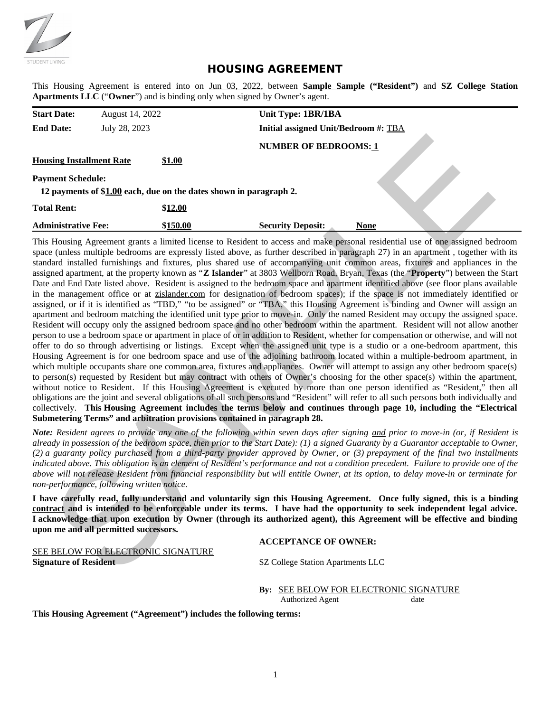

# **HOUSING AGREEMENT**

This Housing Agreement is entered into on Jun 03, 2022, between **Sample Sample ("Resident")** and **SZ College Station Apartments LLC** ("**Owner**") and is binding only when signed by Owner's agent.

| <b>Start Date:</b>              | August 14, 2022 |                                                                    | Unit Type: 1BR/1BA                   |      |  |
|---------------------------------|-----------------|--------------------------------------------------------------------|--------------------------------------|------|--|
| <b>End Date:</b>                | July 28, 2023   |                                                                    | Initial assigned Unit/Bedroom #: TBA |      |  |
|                                 |                 |                                                                    | <b>NUMBER OF BEDROOMS: 1</b>         |      |  |
| <b>Housing Installment Rate</b> |                 | <u>\$1.00</u>                                                      |                                      |      |  |
| <b>Payment Schedule:</b>        |                 |                                                                    |                                      |      |  |
|                                 |                 | 12 payments of \$1.00 each, due on the dates shown in paragraph 2. |                                      |      |  |
| <b>Total Rent:</b>              |                 | \$12.00                                                            |                                      |      |  |
| <b>Administrative Fee:</b>      |                 | \$150.00                                                           | <b>Security Deposit:</b>             | None |  |

This Housing Agreement grants a limited license to Resident to access and make personal residential use of one assigned bedroom space (unless multiple bedrooms are expressly listed above, as further described in paragraph 27) in an apartment , together with its standard installed furnishings and fixtures, plus shared use of accompanying unit common areas, fixtures and appliances in the assigned apartment, at the property known as "**Z Islander**" at 3803 Wellborn Road, Bryan, Texas (the "**Property**") between the Start Date and End Date listed above. Resident is assigned to the bedroom space and apartment identified above (see floor plans available in the management office or at zislander.com for designation of bedroom spaces); if the space is not immediately identified or assigned, or if it is identified as "TBD," "to be assigned" or "TBA," this Housing Agreement is binding and Owner will assign an apartment and bedroom matching the identified unit type prior to move-in. Only the named Resident may occupy the assigned space. Resident will occupy only the assigned bedroom space and no other bedroom within the apartment. Resident will not allow another person to use a bedroom space or apartment in place of or in addition to Resident, whether for compensation or otherwise, and will not offer to do so through advertising or listings. Except when the assigned unit type is a studio or a one-bedroom apartment, this Housing Agreement is for one bedroom space and use of the adjoining bathroom located within a multiple-bedroom apartment, in which multiple occupants share one common area, fixtures and appliances. Owner will attempt to assign any other bedroom space(s) to person(s) requested by Resident but may contract with others of Owner's choosing for the other space(s) within the apartment, without notice to Resident. If this Housing Agreement is executed by more than one person identified as "Resident," then all obligations are the joint and several obligations of all such persons and "Resident" will refer to all such persons both individually and collectively. **This Housing Agreement includes the terms below and continues through page 10, including the "Electrical Submetering Terms" and arbitration provisions contained in paragraph 28.** sing Installment Rate<br>
NUMBER OP BEDROOMS:1<br>
The Installment Rate<br>
Denti Schedule:<br>
Denta Schedule:<br>
Denta State of the dues shown in paragraph 2.<br>
Denta State Denta State of SL00 cock, the only dents shown in paragraph 2

*Note: Resident agrees to provide any one of the following within seven days after signing and prior to move-in (or, if Resident is already in possession of the bedroom space, then prior to the Start Date): (1) a signed Guaranty by a Guarantor acceptable to Owner, (2) a guaranty policy purchased from a third-party provider approved by Owner, or (3) prepayment of the final two installments indicated above. This obligation is an element of Resident's performance and not a condition precedent. Failure to provide one of the above will not release Resident from financial responsibility but will entitle Owner, at its option, to delay move-in or terminate for non-performance, following written notice.*

**I have carefully read, fully understand and voluntarily sign this Housing Agreement. Once fully signed, this is a binding contract and is intended to be enforceable under its terms. I have had the opportunity to seek independent legal advice. I acknowledge that upon execution by Owner (through its authorized agent), this Agreement will be effective and binding upon me and all permitted successors.**

## **ACCEPTANCE OF OWNER:**

SEE BELOW FOR ELECTRONIC SIGNATURE **Signature of Resident STE College Station Apartments LLC** 

**By:** SEE BELOW FOR ELECTRONIC SIGNATURE Authorized Agent date

**This Housing Agreement ("Agreement") includes the following terms:**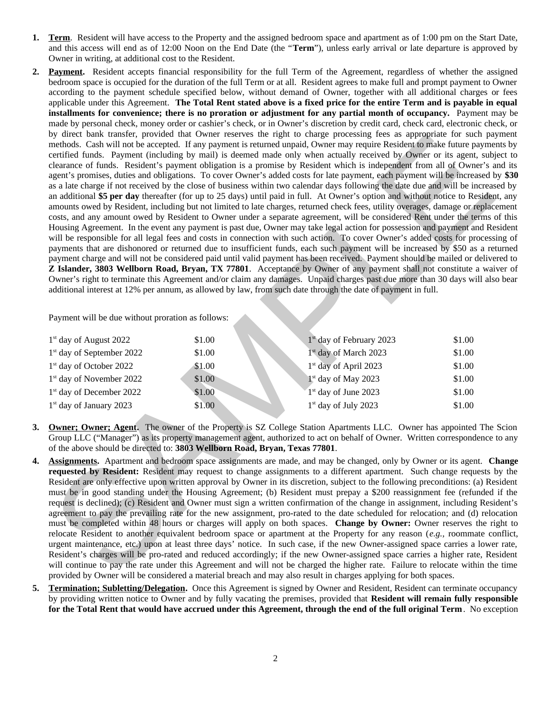- **1. Term**. Resident will have access to the Property and the assigned bedroom space and apartment as of 1:00 pm on the Start Date, and this access will end as of 12:00 Noon on the End Date (the "**Term**"), unless early arrival or late departure is approved by Owner in writing, at additional cost to the Resident.
- **2. Payment.** Resident accepts financial responsibility for the full Term of the Agreement, regardless of whether the assigned bedroom space is occupied for the duration of the full Term or at all. Resident agrees to make full and prompt payment to Owner according to the payment schedule specified below, without demand of Owner, together with all additional charges or fees applicable under this Agreement. **The Total Rent stated above is a fixed price for the entire Term and is payable in equal installments for convenience; there is no proration or adjustment for any partial month of occupancy.** Payment may be made by personal check, money order or cashier's check, or in Owner's discretion by credit card, check card, electronic check, or by direct bank transfer, provided that Owner reserves the right to charge processing fees as appropriate for such payment methods. Cash will not be accepted. If any payment is returned unpaid, Owner may require Resident to make future payments by certified funds. Payment (including by mail) is deemed made only when actually received by Owner or its agent, subject to clearance of funds. Resident's payment obligation is a promise by Resident which is independent from all of Owner's and its agent's promises, duties and obligations. To cover Owner's added costs for late payment, each payment will be increased by **\$30** as a late charge if not received by the close of business within two calendar days following the date due and will be increased by an additional **\$5 per day** thereafter (for up to 25 days) until paid in full. At Owner's option and without notice to Resident, any amounts owed by Resident, including but not limited to late charges, returned check fees, utility overages, damage or replacement costs, and any amount owed by Resident to Owner under a separate agreement, will be considered Rent under the terms of this Housing Agreement. In the event any payment is past due, Owner may take legal action for possession and payment and Resident will be responsible for all legal fees and costs in connection with such action. To cover Owner's added costs for processing of payments that are dishonored or returned due to insufficient funds, each such payment will be increased by \$50 as a returned payment charge and will not be considered paid until valid payment has been received. Payment should be mailed or delivered to **Z Islander, 3803 Wellborn Road, Bryan, TX 77801**. Acceptance by Owner of any payment shall not constitute a waiver of Owner's right to terminate this Agreement and/or claim any damages. Unpaid charges past due more than 30 days will also bear additional interest at 12% per annum, as allowed by law, from such date through the date of payment in full. By and tannels are possible to the state of the contract of the comparison and the state of the proposal of the contract of the state of the state of the state of the state of the state of the state of the state of the st

Payment will be due without proration as follows:

| $1st$ day of August 2022              | \$1.00 | $1st$ day of February 2023        | \$1.00 |
|---------------------------------------|--------|-----------------------------------|--------|
| 1 <sup>st</sup> day of September 2022 | \$1.00 | 1 <sup>st</sup> day of March 2023 | \$1.00 |
| $1st$ day of October 2022             | \$1.00 | 1 <sup>st</sup> day of April 2023 | \$1.00 |
| 1 <sup>st</sup> day of November 2022  | \$1.00 | $1st$ day of May 2023             | \$1.00 |
| 1 <sup>st</sup> day of December 2022  | \$1.00 | 1 <sup>st</sup> day of June 2023  | \$1.00 |
| $1st$ day of January 2023             | \$1.00 | $1st$ day of July 2023            | \$1.00 |

- **3. Owner; Owner; Agent.** The owner of the Property is SZ College Station Apartments LLC. Owner has appointed The Scion Group LLC ("Manager") as its property management agent, authorized to act on behalf of Owner. Written correspondence to any of the above should be directed to: **3803 Wellborn Road, Bryan, Texas 77801**.
- **4. Assignments.** Apartment and bedroom space assignments are made, and may be changed, only by Owner or its agent. **Change requested by Resident:** Resident may request to change assignments to a different apartment. Such change requests by the Resident are only effective upon written approval by Owner in its discretion, subject to the following preconditions: (a) Resident must be in good standing under the Housing Agreement; (b) Resident must prepay a \$200 reassignment fee (refunded if the request is declined); (c) Resident and Owner must sign a written confirmation of the change in assignment, including Resident's agreement to pay the prevailing rate for the new assignment, pro-rated to the date scheduled for relocation; and (d) relocation must be completed within 48 hours or charges will apply on both spaces. **Change by Owner:** Owner reserves the right to relocate Resident to another equivalent bedroom space or apartment at the Property for any reason (*e.g.,* roommate conflict, urgent maintenance, etc.) upon at least three days' notice. In such case, if the new Owner-assigned space carries a lower rate, Resident's charges will be pro-rated and reduced accordingly; if the new Owner-assigned space carries a higher rate, Resident will continue to pay the rate under this Agreement and will not be charged the higher rate. Failure to relocate within the time provided by Owner will be considered a material breach and may also result in charges applying for both spaces.
- **5. Termination; Subletting/Delegation.** Once this Agreement is signed by Owner and Resident, Resident can terminate occupancy by providing written notice to Owner and by fully vacating the premises, provided that **Resident will remain fully responsible for the Total Rent that would have accrued under this Agreement, through the end of the full original Term**. No exception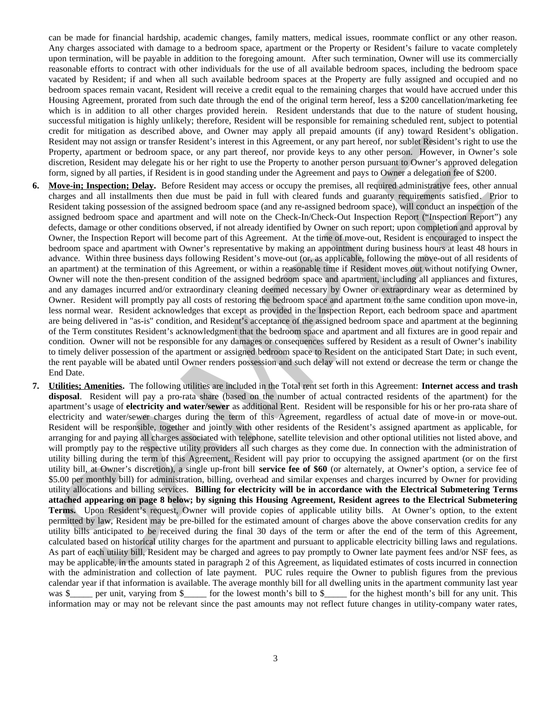can be made for financial hardship, academic changes, family matters, medical issues, roommate conflict or any other reason. Any charges associated with damage to a bedroom space, apartment or the Property or Resident's failure to vacate completely upon termination, will be payable in addition to the foregoing amount. After such termination, Owner will use its commercially reasonable efforts to contract with other individuals for the use of all available bedroom spaces, including the bedroom space vacated by Resident; if and when all such available bedroom spaces at the Property are fully assigned and occupied and no bedroom spaces remain vacant, Resident will receive a credit equal to the remaining charges that would have accrued under this Housing Agreement, prorated from such date through the end of the original term hereof, less a \$200 cancellation/marketing fee which is in addition to all other charges provided herein. Resident understands that due to the nature of student housing, successful mitigation is highly unlikely; therefore, Resident will be responsible for remaining scheduled rent, subject to potential credit for mitigation as described above, and Owner may apply all prepaid amounts (if any) toward Resident's obligation. Resident may not assign or transfer Resident's interest in this Agreement, or any part hereof, nor sublet Resident's right to use the Property, apartment or bedroom space, or any part thereof, nor provide keys to any other person. However, in Owner's sole discretion, Resident may delegate his or her right to use the Property to another person pursuant to Owner's approved delegation form, signed by all parties, if Resident is in good standing under the Agreement and pays to Owner a delegation fee of \$200.

- **6. Move-in; Inspection; Delay.** Before Resident may access or occupy the premises, all required administrative fees, other annual charges and all installments then due must be paid in full with cleared funds and guaranty requirements satisfied. Prior to Resident taking possession of the assigned bedroom space (and any re-assigned bedroom space), will conduct an inspection of the assigned bedroom space and apartment and will note on the Check-In/Check-Out Inspection Report ("Inspection Report") any defects, damage or other conditions observed, if not already identified by Owner on such report; upon completion and approval by Owner, the Inspection Report will become part of this Agreement. At the time of move-out, Resident is encouraged to inspect the bedroom space and apartment with Owner's representative by making an appointment during business hours at least 48 hours in advance. Within three business days following Resident's move-out (or, as applicable, following the move-out of all residents of an apartment) at the termination of this Agreement, or within a reasonable time if Resident moves out without notifying Owner, Owner will note the then-present condition of the assigned bedroom space and apartment, including all appliances and fixtures, and any damages incurred and/or extraordinary cleaning deemed necessary by Owner or extraordinary wear as determined by Owner. Resident will promptly pay all costs of restoring the bedroom space and apartment to the same condition upon move-in, less normal wear. Resident acknowledges that except as provided in the Inspection Report, each bedroom space and apartment are being delivered in "as-is" condition, and Resident's acceptance of the assigned bedroom space and apartment at the beginning of the Term constitutes Resident's acknowledgment that the bedroom space and apartment and all fixtures are in good repair and condition. Owner will not be responsible for any damages or consequences suffered by Resident as a result of Owner's inability to timely deliver possession of the apartment or assigned bedroom space to Resident on the anticipated Start Date; in such event, the rent payable will be abated until Owner renders possession and such delay will not extend or decrease the term or change the End Date.
- **7. Utilities; Amenities.** The following utilities are included in the Total rent set forth in this Agreement: **Internet access and trash disposal**. Resident will pay a pro-rata share (based on the number of actual contracted residents of the apartment) for the apartment's usage of **electricity and water/sewer** as additional Rent. Resident will be responsible for his or her pro-rata share of electricity and water/sewer charges during the term of this Agreement, regardless of actual date of move-in or move-out. Resident will be responsible, together and jointly with other residents of the Resident's assigned apartment as applicable, for arranging for and paying all charges associated with telephone, satellite television and other optional utilities not listed above, and will promptly pay to the respective utility providers all such charges as they come due. In connection with the administration of utility billing during the term of this Agreement, Resident will pay prior to occupying the assigned apartment (or on the first utility bill, at Owner's discretion), a single up-front bill **service fee of \$60** (or alternately, at Owner's option, a service fee of \$5.00 per monthly bill) for administration, billing, overhead and similar expenses and charges incurred by Owner for providing utility allocations and billing services. **Billing for electricity will be in accordance with the Electrical Submetering Terms attached appearing on page 8 below; by signing this Housing Agreement, Resident agrees to the Electrical Submetering Terms.** Upon Resident's request, Owner will provide copies of applicable utility bills. At Owner's option, to the extent permitted by law, Resident may be pre-billed for the estimated amount of charges above the above conservation credits for any utility bills anticipated to be received during the final 30 days of the term or after the end of the term of this Agreement, calculated based on historical utility charges for the apartment and pursuant to applicable electricity billing laws and regulations. As part of each utility bill, Resident may be charged and agrees to pay promptly to Owner late payment fees and/or NSF fees, as may be applicable, in the amounts stated in paragraph 2 of this Agreement, as liquidated estimates of costs incurred in connection with the administration and collection of late payment. PUC rules require the Owner to publish figures from the previous calendar year if that information is available. The average monthly bill for all dwelling units in the apartment community last year was \$\_\_\_\_\_ per unit, varying from \$\_\_\_\_\_ for the lowest month's bill to \$\_\_\_\_\_ for the highest month's bill for any unit. This information may or may not be relevant since the past amounts may not reflect future changes in utility-company water rates, Resident manners are as remainded manner of this Agentum. At the time synchromagned manners are as the synchromagneous control of the synchromagneous control of the synchromagneous control of the synchromagneous control of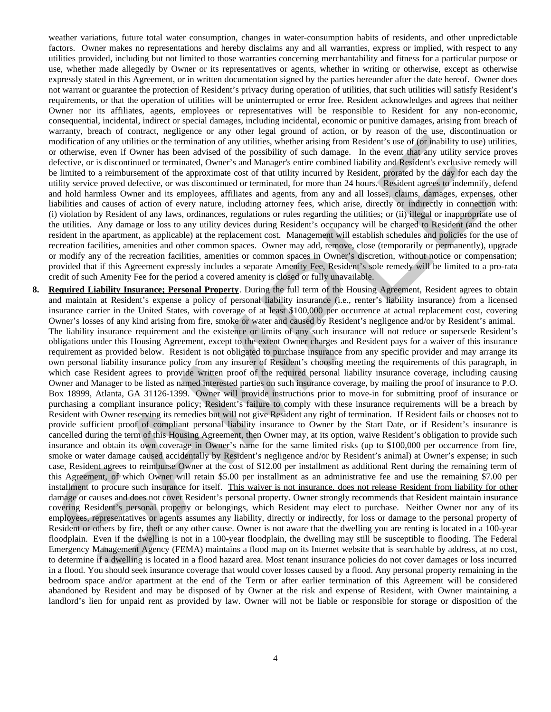weather variations, future total water consumption, changes in water-consumption habits of residents, and other unpredictable factors. Owner makes no representations and hereby disclaims any and all warranties, express or implied, with respect to any utilities provided, including but not limited to those warranties concerning merchantability and fitness for a particular purpose or use, whether made allegedly by Owner or its representatives or agents, whether in writing or otherwise, except as otherwise expressly stated in this Agreement, or in written documentation signed by the parties hereunder after the date hereof. Owner does not warrant or guarantee the protection of Resident's privacy during operation of utilities, that such utilities will satisfy Resident's requirements, or that the operation of utilities will be uninterrupted or error free. Resident acknowledges and agrees that neither Owner nor its affiliates, agents, employees or representatives will be responsible to Resident for any non-economic, consequential, incidental, indirect or special damages, including incidental, economic or punitive damages, arising from breach of warranty, breach of contract, negligence or any other legal ground of action, or by reason of the use, discontinuation or modification of any utilities or the termination of any utilities, whether arising from Resident's use of (or inability to use) utilities, or otherwise, even if Owner has been advised of the possibility of such damage. In the event that any utility service proves defective, or is discontinued or terminated, Owner's and Manager's entire combined liability and Resident's exclusive remedy will be limited to a reimbursement of the approximate cost of that utility incurred by Resident, prorated by the day for each day the utility service proved defective, or was discontinued or terminated, for more than 24 hours. Resident agrees to indemnify, defend and hold harmless Owner and its employees, affiliates and agents, from any and all losses, claims, damages, expenses, other liabilities and causes of action of every nature, including attorney fees, which arise, directly or indirectly in connection with: (i) violation by Resident of any laws, ordinances, regulations or rules regarding the utilities; or (ii) illegal or inappropriate use of the utilities. Any damage or loss to any utility devices during Resident's occupancy will be charged to Resident (and the other resident in the apartment, as applicable) at the replacement cost. Management will establish schedules and policies for the use of recreation facilities, amenities and other common spaces. Owner may add, remove, close (temporarily or permanently), upgrade or modify any of the recreation facilities, amenities or common spaces in Owner's discretion, without notice or compensation; provided that if this Agreement expressly includes a separate Amenity Fee, Resident's sole remedy will be limited to a pro-rata credit of such Amenity Fee for the period a covered amenity is closed or fully unavailable.

**8. Required Liability Insurance; Personal Property**. During the full term of the Housing Agreement, Resident agrees to obtain and maintain at Resident's expense a policy of personal liability insurance (i.e., renter's liability insurance) from a licensed insurance carrier in the United States, with coverage of at least \$100,000 per occurrence at actual replacement cost, covering Owner's losses of any kind arising from fire, smoke or water and caused by Resident's negligence and/or by Resident's animal. The liability insurance requirement and the existence or limits of any such insurance will not reduce or supersede Resident's obligations under this Housing Agreement, except to the extent Owner charges and Resident pays for a waiver of this insurance requirement as provided below. Resident is not obligated to purchase insurance from any specific provider and may arrange its own personal liability insurance policy from any insurer of Resident's choosing meeting the requirements of this paragraph, in which case Resident agrees to provide written proof of the required personal liability insurance coverage, including causing Owner and Manager to be listed as named interested parties on such insurance coverage, by mailing the proof of insurance to P.O. Box 18999, Atlanta, GA 31126-1399. Owner will provide instructions prior to move-in for submitting proof of insurance or purchasing a compliant insurance policy; Resident's failure to comply with these insurance requirements will be a breach by Resident with Owner reserving its remedies but will not give Resident any right of termination. If Resident fails or chooses not to provide sufficient proof of compliant personal liability insurance to Owner by the Start Date, or if Resident's insurance is cancelled during the term of this Housing Agreement, then Owner may, at its option, waive Resident's obligation to provide such insurance and obtain its own coverage in Owner's name for the same limited risks (up to \$100,000 per occurrence from fire, smoke or water damage caused accidentally by Resident's negligence and/or by Resident's animal) at Owner's expense; in such case, Resident agrees to reimburse Owner at the cost of \$12.00 per installment as additional Rent during the remaining term of this Agreement, of which Owner will retain \$5.00 per installment as an administrative fee and use the remaining \$7.00 per installment to procure such insurance for itself. This waiver is not insurance, does not release Resident from liability for other damage or causes and does not cover Resident's personal property. Owner strongly recommends that Resident maintain insurance covering Resident's personal property or belongings, which Resident may elect to purchase. Neither Owner nor any of its employees, representatives or agents assumes any liability, directly or indirectly, for loss or damage to the personal property of Resident or others by fire, theft or any other cause. Owner is not aware that the dwelling you are renting is located in a 100-year floodplain. Even if the dwelling is not in a 100-year floodplain, the dwelling may still be susceptible to flooding. The Federal Emergency Management Agency (FEMA) maintains a flood map on its Internet website that is searchable by address, at no cost, to determine if a dwelling is located in a flood hazard area. Most tenant insurance policies do not cover damages or loss incurred in a flood. You should seek insurance coverage that would cover losses caused by a flood. Any personal property remaining in the bedroom space and/or apartment at the end of the Term or after earlier termination of this Agreement will be considered abandoned by Resident and may be disposed of by Owner at the risk and expense of Resident, with Owner maintaining a landlord's lien for unpaid rent as provided by law. Owner will not be liable or responsible for storage or disposition of the modification of unitarity response the reaction of the state and the state of the state of the state of the state of the state of the state of the state of the state of the state of the state of the state of the state of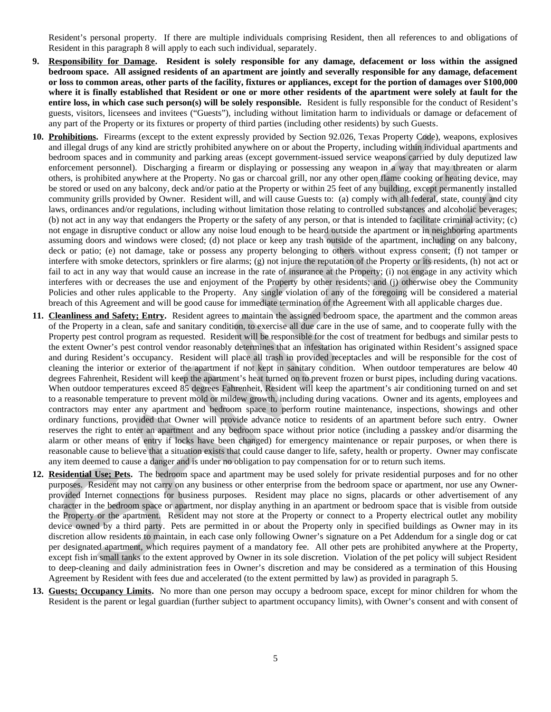Resident's personal property. If there are multiple individuals comprising Resident, then all references to and obligations of Resident in this paragraph 8 will apply to each such individual, separately.

- **9. Responsibility for Damage. Resident is solely responsible for any damage, defacement or loss within the assigned bedroom space. All assigned residents of an apartment are jointly and severally responsible for any damage, defacement or loss to common areas, other parts of the facility, fixtures or appliances, except for the portion of damages over \$100,000 where it is finally established that Resident or one or more other residents of the apartment were solely at fault for the entire loss, in which case such person(s) will be solely responsible.** Resident is fully responsible for the conduct of Resident's guests, visitors, licensees and invitees ("Guests"), including without limitation harm to individuals or damage or defacement of any part of the Property or its fixtures or property of third parties (including other residents) by such Guests.
- **10. Prohibitions.** Firearms (except to the extent expressly provided by Section 92.026, Texas Property Code), weapons, explosives and illegal drugs of any kind are strictly prohibited anywhere on or about the Property, including within individual apartments and bedroom spaces and in community and parking areas (except government-issued service weapons carried by duly deputized law enforcement personnel). Discharging a firearm or displaying or possessing any weapon in a way that may threaten or alarm others, is prohibited anywhere at the Property. No gas or charcoal grill, nor any other open flame cooking or heating device, may be stored or used on any balcony, deck and/or patio at the Property or within 25 feet of any building, except permanently installed community grills provided by Owner. Resident will, and will cause Guests to: (a) comply with all federal, state, county and city laws, ordinances and/or regulations, including without limitation those relating to controlled substances and alcoholic beverages; (b) not act in any way that endangers the Property or the safety of any person, or that is intended to facilitate criminal activity; (c) not engage in disruptive conduct or allow any noise loud enough to be heard outside the apartment or in neighboring apartments assuming doors and windows were closed; (d) not place or keep any trash outside of the apartment, including on any balcony, deck or patio; (e) not damage, take or possess any property belonging to others without express consent; (f) not tamper or interfere with smoke detectors, sprinklers or fire alarms; (g) not injure the reputation of the Property or its residents, (h) not act or fail to act in any way that would cause an increase in the rate of insurance at the Property; (i) not engage in any activity which interferes with or decreases the use and enjoyment of the Property by other residents; and (j) otherwise obey the Community Policies and other rules applicable to the Property. Any single violation of any of the foregoing will be considered a material breach of this Agreement and will be good cause for immediate termination of the Agreement with all applicable charges due. **Probabilities.** Fiterarm (except to the exceediate provide by Section 2020, Texas Property Cole). The exceediby the exceediby the exceediby of the exceediby and particle in the exceediby and particle in the exceediby and
- **11. Cleanliness and Safety; Entry.** Resident agrees to maintain the assigned bedroom space, the apartment and the common areas of the Property in a clean, safe and sanitary condition, to exercise all due care in the use of same, and to cooperate fully with the Property pest control program as requested. Resident will be responsible for the cost of treatment for bedbugs and similar pests to the extent Owner's pest control vendor reasonably determines that an infestation has originated within Resident's assigned space and during Resident's occupancy. Resident will place all trash in provided receptacles and will be responsible for the cost of cleaning the interior or exterior of the apartment if not kept in sanitary condition. When outdoor temperatures are below 40 degrees Fahrenheit, Resident will keep the apartment's heat turned on to prevent frozen or burst pipes, including during vacations. When outdoor temperatures exceed 85 degrees Fahrenheit, Resident will keep the apartment's air conditioning turned on and set to a reasonable temperature to prevent mold or mildew growth, including during vacations. Owner and its agents, employees and contractors may enter any apartment and bedroom space to perform routine maintenance, inspections, showings and other ordinary functions, provided that Owner will provide advance notice to residents of an apartment before such entry. Owner reserves the right to enter an apartment and any bedroom space without prior notice (including a passkey and/or disarming the alarm or other means of entry if locks have been changed) for emergency maintenance or repair purposes, or when there is reasonable cause to believe that a situation exists that could cause danger to life, safety, health or property. Owner may confiscate any item deemed to cause a danger and is under no obligation to pay compensation for or to return such items.
- **12. Residential Use; Pets.** The bedroom space and apartment may be used solely for private residential purposes and for no other purposes. Resident may not carry on any business or other enterprise from the bedroom space or apartment, nor use any Ownerprovided Internet connections for business purposes. Resident may place no signs, placards or other advertisement of any character in the bedroom space or apartment, nor display anything in an apartment or bedroom space that is visible from outside the Property or the apartment. Resident may not store at the Property or connect to a Property electrical outlet any mobility device owned by a third party. Pets are permitted in or about the Property only in specified buildings as Owner may in its discretion allow residents to maintain, in each case only following Owner's signature on a Pet Addendum for a single dog or cat per designated apartment, which requires payment of a mandatory fee. All other pets are prohibited anywhere at the Property, except fish in small tanks to the extent approved by Owner in its sole discretion. Violation of the pet policy will subject Resident to deep-cleaning and daily administration fees in Owner's discretion and may be considered as a termination of this Housing Agreement by Resident with fees due and accelerated (to the extent permitted by law) as provided in paragraph 5.
- **13. Guests; Occupancy Limits.** No more than one person may occupy a bedroom space, except for minor children for whom the Resident is the parent or legal guardian (further subject to apartment occupancy limits), with Owner's consent and with consent of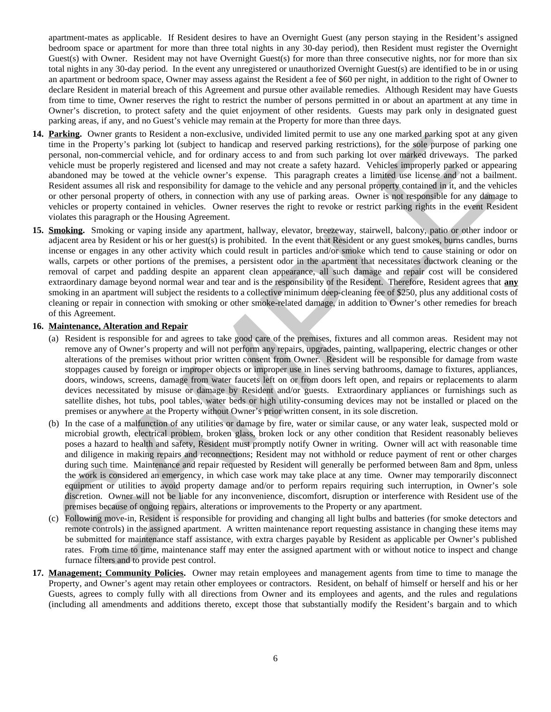apartment-mates as applicable. If Resident desires to have an Overnight Guest (any person staying in the Resident's assigned bedroom space or apartment for more than three total nights in any 30-day period), then Resident must register the Overnight Guest(s) with Owner. Resident may not have Overnight Guest(s) for more than three consecutive nights, nor for more than six total nights in any 30-day period. In the event any unregistered or unauthorized Overnight Guest(s) are identified to be in or using an apartment or bedroom space, Owner may assess against the Resident a fee of \$60 per night, in addition to the right of Owner to declare Resident in material breach of this Agreement and pursue other available remedies. Although Resident may have Guests from time to time, Owner reserves the right to restrict the number of persons permitted in or about an apartment at any time in Owner's discretion, to protect safety and the quiet enjoyment of other residents. Guests may park only in designated guest parking areas, if any, and no Guest's vehicle may remain at the Property for more than three days.

- **14. Parking.** Owner grants to Resident a non-exclusive, undivided limited permit to use any one marked parking spot at any given time in the Property's parking lot (subject to handicap and reserved parking restrictions), for the sole purpose of parking one personal, non-commercial vehicle, and for ordinary access to and from such parking lot over marked driveways. The parked vehicle must be properly registered and licensed and may not create a safety hazard. Vehicles improperly parked or appearing abandoned may be towed at the vehicle owner's expense. This paragraph creates a limited use license and not a bailment. Resident assumes all risk and responsibility for damage to the vehicle and any personal property contained in it, and the vehicles or other personal property of others, in connection with any use of parking areas. Owner is not responsible for any damage to vehicles or property contained in vehicles. Owner reserves the right to revoke or restrict parking rights in the event Resident violates this paragraph or the Housing Agreement.
- **15. Smoking.** Smoking or vaping inside any apartment, hallway, elevator, breezeway, stairwell, balcony, patio or other indoor or adjacent area by Resident or his or her guest(s) is prohibited. In the event that Resident or any guest smokes, burns candles, burns incense or engages in any other activity which could result in particles and/or smoke which tend to cause staining or odor on walls, carpets or other portions of the premises, a persistent odor in the apartment that necessitates ductwork cleaning or the removal of carpet and padding despite an apparent clean appearance, all such damage and repair cost will be considered extraordinary damage beyond normal wear and tear and is the responsibility of the Resident. Therefore, Resident agrees that **any** smoking in an apartment will subject the residents to a collective minimum deep-cleaning fee of \$250, plus any additional costs of cleaning or repair in connection with smoking or other smoke-related damage, in addition to Owner's other remedies for breach of this Agreement.

### **16. Maintenance, Alteration and Repair**

- (a) Resident is responsible for and agrees to take good care of the premises, fixtures and all common areas. Resident may not remove any of Owner's property and will not perform any repairs, upgrades, painting, wallpapering, electric changes or other alterations of the premises without prior written consent from Owner. Resident will be responsible for damage from waste stoppages caused by foreign or improper objects or improper use in lines serving bathrooms, damage to fixtures, appliances, doors, windows, screens, damage from water faucets left on or from doors left open, and repairs or replacements to alarm devices necessitated by misuse or damage by Resident and/or guests. Extraordinary appliances or furnishings such as satellite dishes, hot tubs, pool tables, water beds or high utility-consuming devices may not be installed or placed on the premises or anywhere at the Property without Owner's prior written consent, in its sole discretion.
- (b) In the case of a malfunction of any utilities or damage by fire, water or similar cause, or any water leak, suspected mold or microbial growth, electrical problem, broken glass, broken lock or any other condition that Resident reasonably believes poses a hazard to health and safety, Resident must promptly notify Owner in writing. Owner will act with reasonable time and diligence in making repairs and reconnections; Resident may not withhold or reduce payment of rent or other charges during such time. Maintenance and repair requested by Resident will generally be performed between 8am and 8pm, unless the work is considered an emergency, in which case work may take place at any time. Owner may temporarily disconnect equipment or utilities to avoid property damage and/or to perform repairs requiring such interruption, in Owner's sole discretion. Owner will not be liable for any inconvenience, discomfort, disruption or interference with Resident use of the premises because of ongoing repairs, alterations or improvements to the Property or any apartment. **Example.** One grants to bestead a non-exclusive, undeted innited permit to use any one makes parameterized in the state and a method permit of the state and a method in the state of the state and a method in method in th
- (c) Following move-in, Resident is responsible for providing and changing all light bulbs and batteries (for smoke detectors and remote controls) in the assigned apartment. A written maintenance report requesting assistance in changing these items may be submitted for maintenance staff assistance, with extra charges payable by Resident as applicable per Owner's published rates. From time to time, maintenance staff may enter the assigned apartment with or without notice to inspect and change furnace filters and to provide pest control.
- **17. Management; Community Policies.** Owner may retain employees and management agents from time to time to manage the Property, and Owner's agent may retain other employees or contractors. Resident, on behalf of himself or herself and his or her Guests, agrees to comply fully with all directions from Owner and its employees and agents, and the rules and regulations (including all amendments and additions thereto, except those that substantially modify the Resident's bargain and to which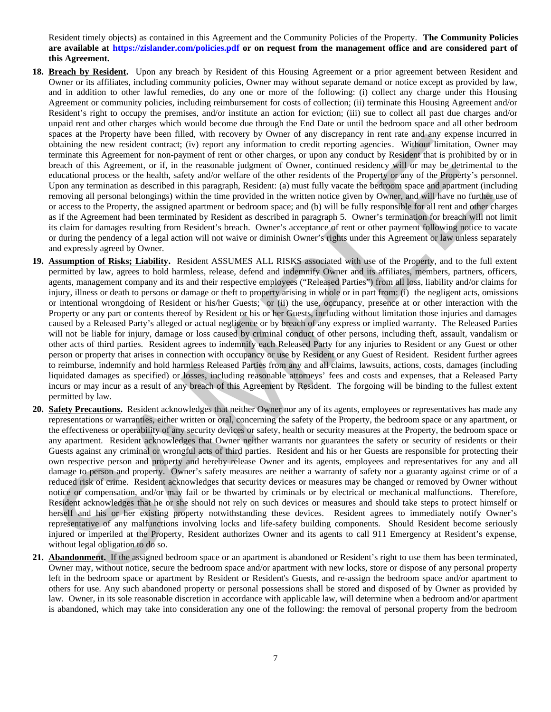Resident timely objects) as contained in this Agreement and the Community Policies of the Property. **The Community Policies are available at https://zislander.com/policies.pdf or on request from the management office and are considered part of this Agreement.**

- **18. Breach by Resident.** Upon any breach by Resident of this Housing Agreement or a prior agreement between Resident and Owner or its affiliates, including community policies, Owner may without separate demand or notice except as provided by law, and in addition to other lawful remedies, do any one or more of the following: (i) collect any charge under this Housing Agreement or community policies, including reimbursement for costs of collection; (ii) terminate this Housing Agreement and/or Resident's right to occupy the premises, and/or institute an action for eviction; (iii) sue to collect all past due charges and/or unpaid rent and other charges which would become due through the End Date or until the bedroom space and all other bedroom spaces at the Property have been filled, with recovery by Owner of any discrepancy in rent rate and any expense incurred in obtaining the new resident contract; (iv) report any information to credit reporting agencies. Without limitation, Owner may terminate this Agreement for non-payment of rent or other charges, or upon any conduct by Resident that is prohibited by or in breach of this Agreement, or if, in the reasonable judgment of Owner, continued residency will or may be detrimental to the educational process or the health, safety and/or welfare of the other residents of the Property or any of the Property's personnel. Upon any termination as described in this paragraph, Resident: (a) must fully vacate the bedroom space and apartment (including removing all personal belongings) within the time provided in the written notice given by Owner, and will have no further use of or access to the Property, the assigned apartment or bedroom space; and (b) will be fully responsible for all rent and other charges as if the Agreement had been terminated by Resident as described in paragraph 5. Owner's termination for breach will not limit its claim for damages resulting from Resident's breach. Owner's acceptance of rent or other payment following notice to vacate or during the pendency of a legal action will not waive or diminish Owner's rights under this Agreement or law unless separately and expressly agreed by Owner.
- **19. Assumption of Risks; Liability.** Resident ASSUMES ALL RISKS associated with use of the Property, and to the full extent permitted by law, agrees to hold harmless, release, defend and indemnify Owner and its affiliates, members, partners, officers, agents, management company and its and their respective employees ("Released Parties") from all loss, liability and/or claims for injury, illness or death to persons or damage or theft to property arising in whole or in part from: (i) the negligent acts, omissions or intentional wrongdoing of Resident or his/her Guests; or (ii) the use, occupancy, presence at or other interaction with the Property or any part or contents thereof by Resident or his or her Guests, including without limitation those injuries and damages caused by a Released Party's alleged or actual negligence or by breach of any express or implied warranty. The Released Parties will not be liable for injury, damage or loss caused by criminal conduct of other persons, including theft, assault, vandalism or other acts of third parties. Resident agrees to indemnify each Released Party for any injuries to Resident or any Guest or other person or property that arises in connection with occupancy or use by Resident or any Guest of Resident. Resident further agrees to reimburse, indemnify and hold harmless Released Parties from any and all claims, lawsuits, actions, costs, damages (including liquidated damages as specified) or losses, including reasonable attorneys' fees and costs and expenses, that a Released Party incurs or may incur as a result of any breach of this Agreement by Resident. The forgoing will be binding to the fullest extent permitted by law. papear at the progres have been little, with the other by the range and the mail and any operator at the constraints of the mail and any operator at the constraints of the mail and any operator at the constraints of the co
- **20. Safety Precautions.** Resident acknowledges that neither Owner nor any of its agents, employees or representatives has made any representations or warranties, either written or oral, concerning the safety of the Property, the bedroom space or any apartment, or the effectiveness or operability of any security devices or safety, health or security measures at the Property, the bedroom space or any apartment. Resident acknowledges that Owner neither warrants nor guarantees the safety or security of residents or their Guests against any criminal or wrongful acts of third parties. Resident and his or her Guests are responsible for protecting their own respective person and property and hereby release Owner and its agents, employees and representatives for any and all damage to person and property. Owner's safety measures are neither a warranty of safety nor a guaranty against crime or of a reduced risk of crime. Resident acknowledges that security devices or measures may be changed or removed by Owner without notice or compensation, and/or may fail or be thwarted by criminals or by electrical or mechanical malfunctions. Therefore, Resident acknowledges that he or she should not rely on such devices or measures and should take steps to protect himself or herself and his or her existing property notwithstanding these devices. Resident agrees to immediately notify Owner's representative of any malfunctions involving locks and life-safety building components. Should Resident become seriously injured or imperiled at the Property, Resident authorizes Owner and its agents to call 911 Emergency at Resident's expense, without legal obligation to do so.
- **21. Abandonment.** If the assigned bedroom space or an apartment is abandoned or Resident's right to use them has been terminated, Owner may, without notice, secure the bedroom space and/or apartment with new locks, store or dispose of any personal property left in the bedroom space or apartment by Resident or Resident's Guests, and re-assign the bedroom space and/or apartment to others for use. Any such abandoned property or personal possessions shall be stored and disposed of by Owner as provided by law. Owner, in its sole reasonable discretion in accordance with applicable law, will determine when a bedroom and/or apartment is abandoned, which may take into consideration any one of the following: the removal of personal property from the bedroom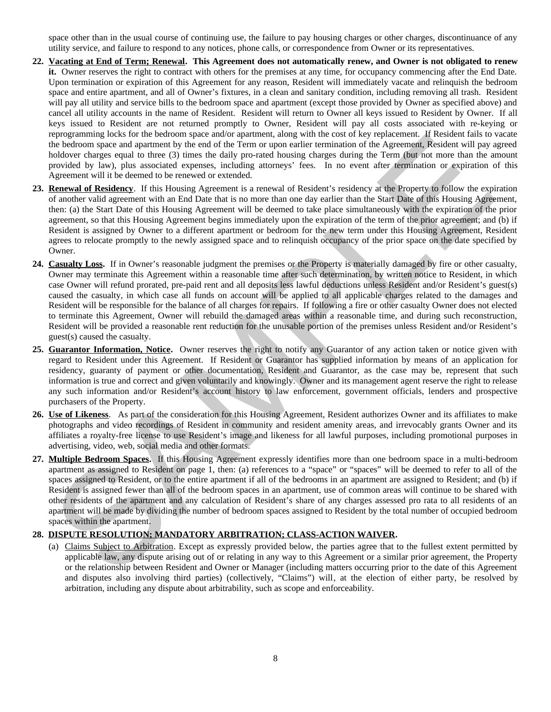space other than in the usual course of continuing use, the failure to pay housing charges or other charges, discontinuance of any utility service, and failure to respond to any notices, phone calls, or correspondence from Owner or its representatives.

- **22. Vacating at End of Term; Renewal. This Agreement does not automatically renew, and Owner is not obligated to renew it.** Owner reserves the right to contract with others for the premises at any time, for occupancy commencing after the End Date. Upon termination or expiration of this Agreement for any reason, Resident will immediately vacate and relinquish the bedroom space and entire apartment, and all of Owner's fixtures, in a clean and sanitary condition, including removing all trash. Resident will pay all utility and service bills to the bedroom space and apartment (except those provided by Owner as specified above) and cancel all utility accounts in the name of Resident. Resident will return to Owner all keys issued to Resident by Owner. If all keys issued to Resident are not returned promptly to Owner, Resident will pay all costs associated with re-keying or reprogramming locks for the bedroom space and/or apartment, along with the cost of key replacement. If Resident fails to vacate the bedroom space and apartment by the end of the Term or upon earlier termination of the Agreement, Resident will pay agreed holdover charges equal to three (3) times the daily pro-rated housing charges during the Term (but not more than the amount provided by law), plus associated expenses, including attorneys' fees. In no event after termination or expiration of this Agreement will it be deemed to be renewed or extended.
- **23. Renewal of Residency**. If this Housing Agreement is a renewal of Resident's residency at the Property to follow the expiration of another valid agreement with an End Date that is no more than one day earlier than the Start Date of this Housing Agreement, then: (a) the Start Date of this Housing Agreement will be deemed to take place simultaneously with the expiration of the prior agreement, so that this Housing Agreement begins immediately upon the expiration of the term of the prior agreement; and (b) if Resident is assigned by Owner to a different apartment or bedroom for the new term under this Housing Agreement, Resident agrees to relocate promptly to the newly assigned space and to relinquish occupancy of the prior space on the date specified by Owner.
- **24. Casualty Loss.** If in Owner's reasonable judgment the premises or the Property is materially damaged by fire or other casualty, Owner may terminate this Agreement within a reasonable time after such determination, by written notice to Resident, in which case Owner will refund prorated, pre-paid rent and all deposits less lawful deductions unless Resident and/or Resident's guest(s) caused the casualty, in which case all funds on account will be applied to all applicable charges related to the damages and Resident will be responsible for the balance of all charges for repairs. If following a fire or other casualty Owner does not elected to terminate this Agreement, Owner will rebuild the damaged areas within a reasonable time, and during such reconstruction, Resident will be provided a reasonable rent reduction for the unusable portion of the premises unless Resident and/or Resident's guest(s) caused the casualty. epoperaming loots for the bettom space and/or aperture. Along with the cost desp replacement, it leads that the cost of the cost of the space of the space of the space of the space of the space of the space of the space of
- **25. Guarantor Information, Notice.** Owner reserves the right to notify any Guarantor of any action taken or notice given with regard to Resident under this Agreement. If Resident or Guarantor has supplied information by means of an application for residency, guaranty of payment or other documentation, Resident and Guarantor, as the case may be, represent that such information is true and correct and given voluntarily and knowingly. Owner and its management agent reserve the right to release any such information and/or Resident's account history to law enforcement, government officials, lenders and prospective purchasers of the Property.
- **26. Use of Likeness**. As part of the consideration for this Housing Agreement, Resident authorizes Owner and its affiliates to make photographs and video recordings of Resident in community and resident amenity areas, and irrevocably grants Owner and its affiliates a royalty-free license to use Resident's image and likeness for all lawful purposes, including promotional purposes in advertising, video, web, social media and other formats.
- **27. Multiple Bedroom Spaces.** If this Housing Agreement expressly identifies more than one bedroom space in a multi-bedroom apartment as assigned to Resident on page 1, then: (a) references to a "space" or "spaces" will be deemed to refer to all of the spaces assigned to Resident, or to the entire apartment if all of the bedrooms in an apartment are assigned to Resident; and (b) if Resident is assigned fewer than all of the bedroom spaces in an apartment, use of common areas will continue to be shared with other residents of the apartment and any calculation of Resident's share of any charges assessed pro rata to all residents of an apartment will be made by dividing the number of bedroom spaces assigned to Resident by the total number of occupied bedroom spaces within the apartment.

# **28. DISPUTE RESOLUTION; MANDATORY ARBITRATION; CLASS-ACTION WAIVER.**

(a) Claims Subject to Arbitration. Except as expressly provided below, the parties agree that to the fullest extent permitted by applicable law, any dispute arising out of or relating in any way to this Agreement or a similar prior agreement, the Property or the relationship between Resident and Owner or Manager (including matters occurring prior to the date of this Agreement and disputes also involving third parties) (collectively, "Claims") will, at the election of either party, be resolved by arbitration, including any dispute about arbitrability, such as scope and enforceability.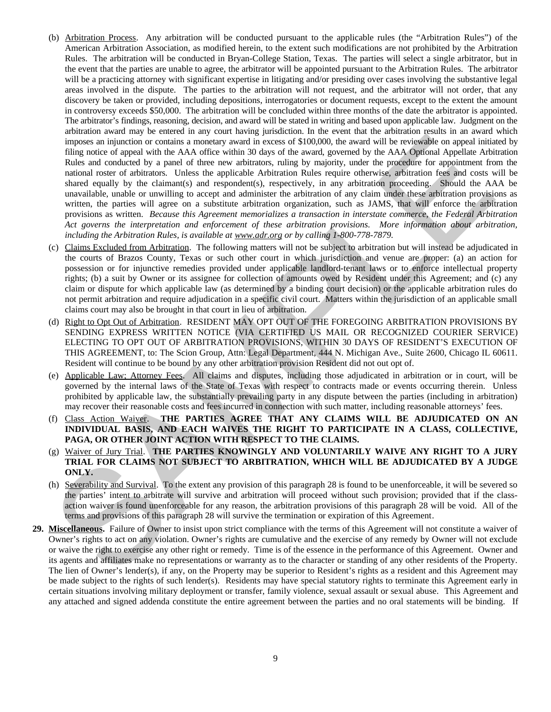- (b) Arbitration Process. Any arbitration will be conducted pursuant to the applicable rules (the "Arbitration Rules") of the American Arbitration Association, as modified herein, to the extent such modifications are not prohibited by the Arbitration Rules. The arbitration will be conducted in Bryan-College Station, Texas. The parties will select a single arbitrator, but in the event that the parties are unable to agree, the arbitrator will be appointed pursuant to the Arbitration Rules. The arbitrator will be a practicing attorney with significant expertise in litigating and/or presiding over cases involving the substantive legal areas involved in the dispute. The parties to the arbitration will not request, and the arbitrator will not order, that any discovery be taken or provided, including depositions, interrogatories or document requests, except to the extent the amount in controversy exceeds \$50,000. The arbitration will be concluded within three months of the date the arbitrator is appointed. The arbitrator's findings, reasoning, decision, and award will be stated in writing and based upon applicable law. Judgment on the arbitration award may be entered in any court having jurisdiction. In the event that the arbitration results in an award which imposes an injunction or contains a monetary award in excess of \$100,000, the award will be reviewable on appeal initiated by filing notice of appeal with the AAA office within 30 days of the award, governed by the AAA Optional Appellate Arbitration Rules and conducted by a panel of three new arbitrators, ruling by majority, under the procedure for appointment from the national roster of arbitrators. Unless the applicable Arbitration Rules require otherwise, arbitration fees and costs will be shared equally by the claimant(s) and respondent(s), respectively, in any arbitration proceeding. Should the AAA be unavailable, unable or unwilling to accept and administer the arbitration of any claim under these arbitration provisions as written, the parties will agree on a substitute arbitration organization, such as JAMS, that will enforce the arbitration provisions as written. *Because this Agreement memorializes a transaction in interstate commerce, the Federal Arbitration Act governs the interpretation and enforcement of these arbitration provisions. More information about arbitration, including the Arbitration Rules, is available at www.adr.org or by calling 1-800-778-7879.* innocen a bind unit of the distribution of the same of the same of the most of the same of the same of the same of the same of the same of the same of the same of the same of the same of the same of the same of the same of
- (c) Claims Excluded from Arbitration. The following matters will not be subject to arbitration but will instead be adjudicated in the courts of Brazos County, Texas or such other court in which jurisdiction and venue are proper: (a) an action for possession or for injunctive remedies provided under applicable landlord-tenant laws or to enforce intellectual property rights; (b) a suit by Owner or its assignee for collection of amounts owed by Resident under this Agreement; and (c) any claim or dispute for which applicable law (as determined by a binding court decision) or the applicable arbitration rules do not permit arbitration and require adjudication in a specific civil court. Matters within the jurisdiction of an applicable small claims court may also be brought in that court in lieu of arbitration.
- (d) Right to Opt Out of Arbitration. RESIDENT MAY OPT OUT OF THE FOREGOING ARBITRATION PROVISIONS BY SENDING EXPRESS WRITTEN NOTICE (VIA CERTIFIED US MAIL OR RECOGNIZED COURIER SERVICE) ELECTING TO OPT OUT OF ARBITRATION PROVISIONS, WITHIN 30 DAYS OF RESIDENT'S EXECUTION OF THIS AGREEMENT, to: The Scion Group, Attn: Legal Department, 444 N. Michigan Ave., Suite 2600, Chicago IL 60611. Resident will continue to be bound by any other arbitration provision Resident did not out opt of.
- (e) Applicable Law; Attorney Fees. All claims and disputes, including those adjudicated in arbitration or in court, will be governed by the internal laws of the State of Texas with respect to contracts made or events occurring therein. Unless prohibited by applicable law, the substantially prevailing party in any dispute between the parties (including in arbitration) may recover their reasonable costs and fees incurred in connection with such matter, including reasonable attorneys' fees.
- (f) Class Action Waiver. **THE PARTIES AGREE THAT ANY CLAIMS WILL BE ADJUDICATED ON AN INDIVIDUAL BASIS, AND EACH WAIVES THE RIGHT TO PARTICIPATE IN A CLASS, COLLECTIVE, PAGA, OR OTHER JOINT ACTION WITH RESPECT TO THE CLAIMS.**
- (g) Waiver of Jury Trial. **THE PARTIES KNOWINGLY AND VOLUNTARILY WAIVE ANY RIGHT TO A JURY TRIAL FOR CLAIMS NOT SUBJECT TO ARBITRATION, WHICH WILL BE ADJUDICATED BY A JUDGE ONLY.**
- (h) Severability and Survival. To the extent any provision of this paragraph 28 is found to be unenforceable, it will be severed so the parties' intent to arbitrate will survive and arbitration will proceed without such provision; provided that if the classaction waiver is found unenforceable for any reason, the arbitration provisions of this paragraph 28 will be void. All of the terms and provisions of this paragraph 28 will survive the termination or expiration of this Agreement.
- **29. Miscellaneous.** Failure of Owner to insist upon strict compliance with the terms of this Agreement will not constitute a waiver of Owner's rights to act on any violation. Owner's rights are cumulative and the exercise of any remedy by Owner will not exclude or waive the right to exercise any other right or remedy. Time is of the essence in the performance of this Agreement. Owner and its agents and affiliates make no representations or warranty as to the character or standing of any other residents of the Property. The lien of Owner's lender(s), if any, on the Property may be superior to Resident's rights as a resident and this Agreement may be made subject to the rights of such lender(s). Residents may have special statutory rights to terminate this Agreement early in certain situations involving military deployment or transfer, family violence, sexual assault or sexual abuse. This Agreement and any attached and signed addenda constitute the entire agreement between the parties and no oral statements will be binding. If